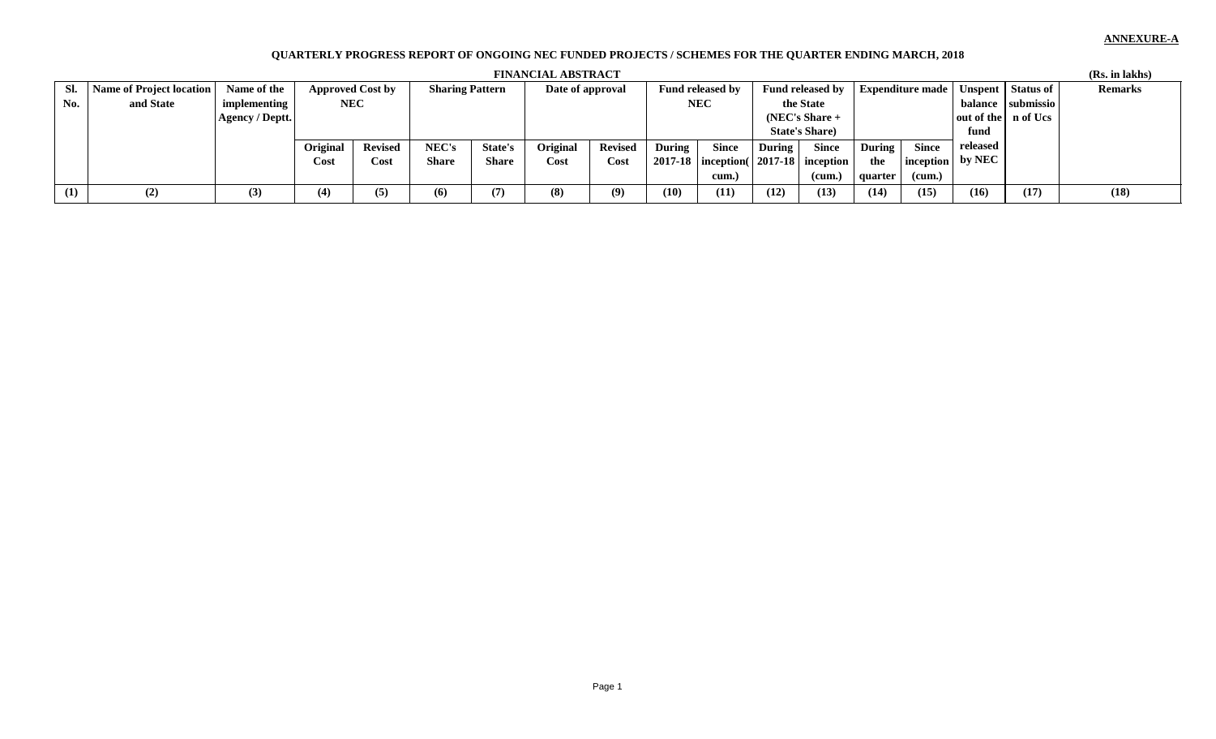## **ANNEXURE-A**

## **QUARTERLY PROGRESS REPORT OF ONGOING NEC FUNDED PROJECTS / SCHEMES FOR THE QUARTER ENDING MARCH, 2018**

|     | <b>FINANCIAL ABSTRACT</b> |                 |            |                         |                        |                |                  |                |                         |                                             |                         |              |                         |              | (Rs. in lakhs)                        |                   |                |
|-----|---------------------------|-----------------|------------|-------------------------|------------------------|----------------|------------------|----------------|-------------------------|---------------------------------------------|-------------------------|--------------|-------------------------|--------------|---------------------------------------|-------------------|----------------|
| Sl. | Name of Project location  | Name of the     |            | <b>Approved Cost by</b> | <b>Sharing Pattern</b> |                | Date of approval |                | <b>Fund released by</b> |                                             | <b>Fund released by</b> |              | <b>Expenditure made</b> |              | Unspent Status of                     |                   | <b>Remarks</b> |
| No. | and State                 | implementing    | <b>NEC</b> |                         |                        |                |                  |                | <b>NEC</b>              |                                             | the State               |              |                         |              |                                       | balance submissio |                |
|     |                           | Agency / Deptt. |            |                         |                        |                |                  |                |                         |                                             | $(NEC's Share +$        |              | out of the n of Ucs     |              |                                       |                   |                |
|     |                           |                 |            |                         |                        |                |                  |                |                         |                                             | <b>State's Share</b> )  |              |                         |              | fund                                  |                   |                |
|     |                           |                 | Original   | <b>Revised</b>          | NEC's                  | <b>State's</b> | <b>Original</b>  | <b>Revised</b> | <b>During</b>           | <b>Since</b>                                | During                  | <b>Since</b> | <b>During</b>           | <b>Since</b> | released                              |                   |                |
|     |                           |                 | Cost       | Cost                    | <b>Share</b>           | Share          | Cost             | Cost           |                         | $2017-18$  inception(   2017-18   inception |                         |              | the                     |              | $\mid$ inception $\mid$ by NEC $\mid$ |                   |                |
|     |                           |                 |            |                         |                        |                |                  |                |                         | cum.)                                       |                         | (cum.)       | quarter                 | (cum.)       |                                       |                   |                |
| (1) | (2)                       | (3)             | (4)        | (5)                     | (6)                    | (7)            | (8)              | (9)            | (10)                    | (11)                                        | (12)                    | (13)         | (14)                    | (15)         | (16)                                  | (17)              | (18)           |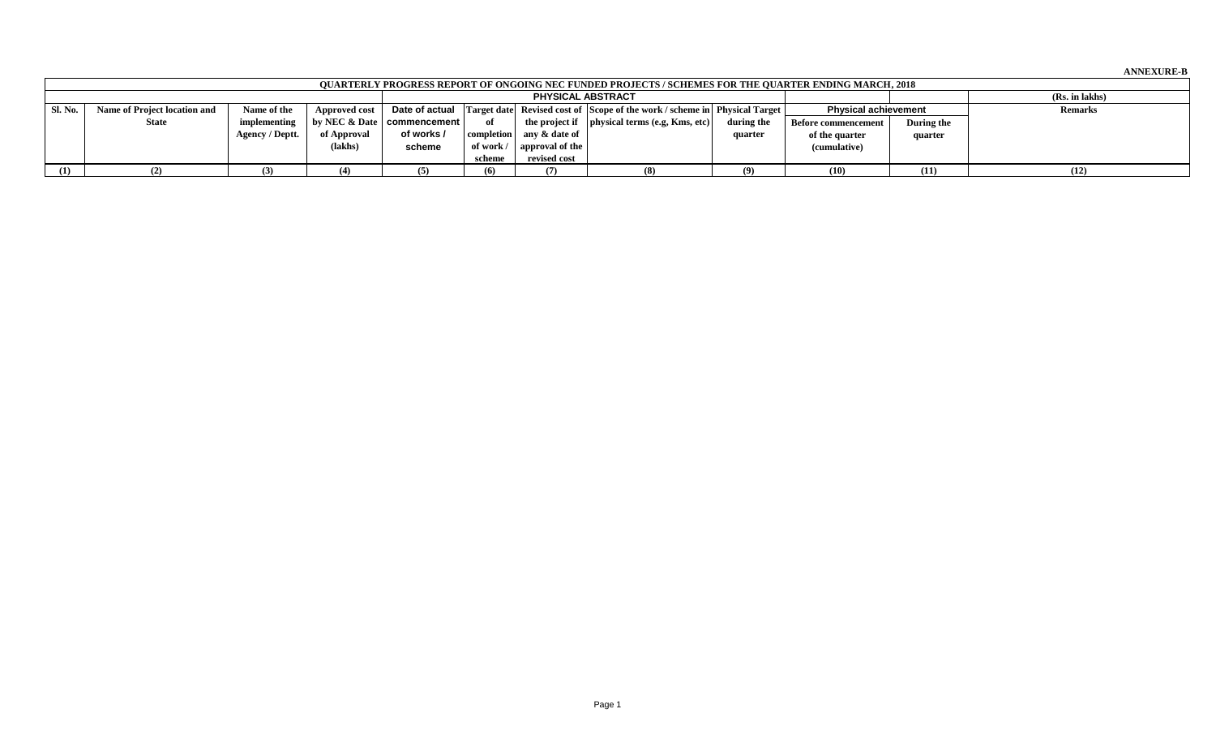**ANNEXURE-B**

|         | <b>OUARTERLY PROGRESS REPORT OF ONGOING NEC FUNDED PROJECTS / SCHEMES FOR THE QUARTER ENDING MARCH, 2018</b> |                 |               |                                                    |        |                                  |                                                                                                 |            |                             |            |                |  |  |  |
|---------|--------------------------------------------------------------------------------------------------------------|-----------------|---------------|----------------------------------------------------|--------|----------------------------------|-------------------------------------------------------------------------------------------------|------------|-----------------------------|------------|----------------|--|--|--|
|         |                                                                                                              | (Rs. in lakhs)  |               |                                                    |        |                                  |                                                                                                 |            |                             |            |                |  |  |  |
| Sl. No. | Name of Project location and                                                                                 | Name of the     | Approved cost |                                                    |        |                                  | <b>Date of actual</b> Target date Revised cost of Scope of the work / scheme in Physical Target |            | <b>Physical achievement</b> |            | <b>Remarks</b> |  |  |  |
|         | <b>State</b>                                                                                                 | implementing    |               | $\vert$ by NEC & Date $\vert$ commencement $\vert$ | оf     |                                  | the project if $ $ physical terms (e.g. Kms, etc)                                               | during the | <b>Before commencement</b>  | During the |                |  |  |  |
|         |                                                                                                              | Agency / Deptt. | of Approval   | of works /                                         |        | completion any & date of         |                                                                                                 | quarter    | of the quarter              | quarter    |                |  |  |  |
|         |                                                                                                              |                 | (lakhs)       | scheme                                             |        | of work $/ \Box$ approval of the |                                                                                                 |            | (cumulative)                |            |                |  |  |  |
|         |                                                                                                              |                 |               |                                                    | scheme | revised cost                     |                                                                                                 |            |                             |            |                |  |  |  |
| (1)     |                                                                                                              |                 | (4)           |                                                    | (6)    |                                  |                                                                                                 |            | (10)                        | (11)       | (12)           |  |  |  |